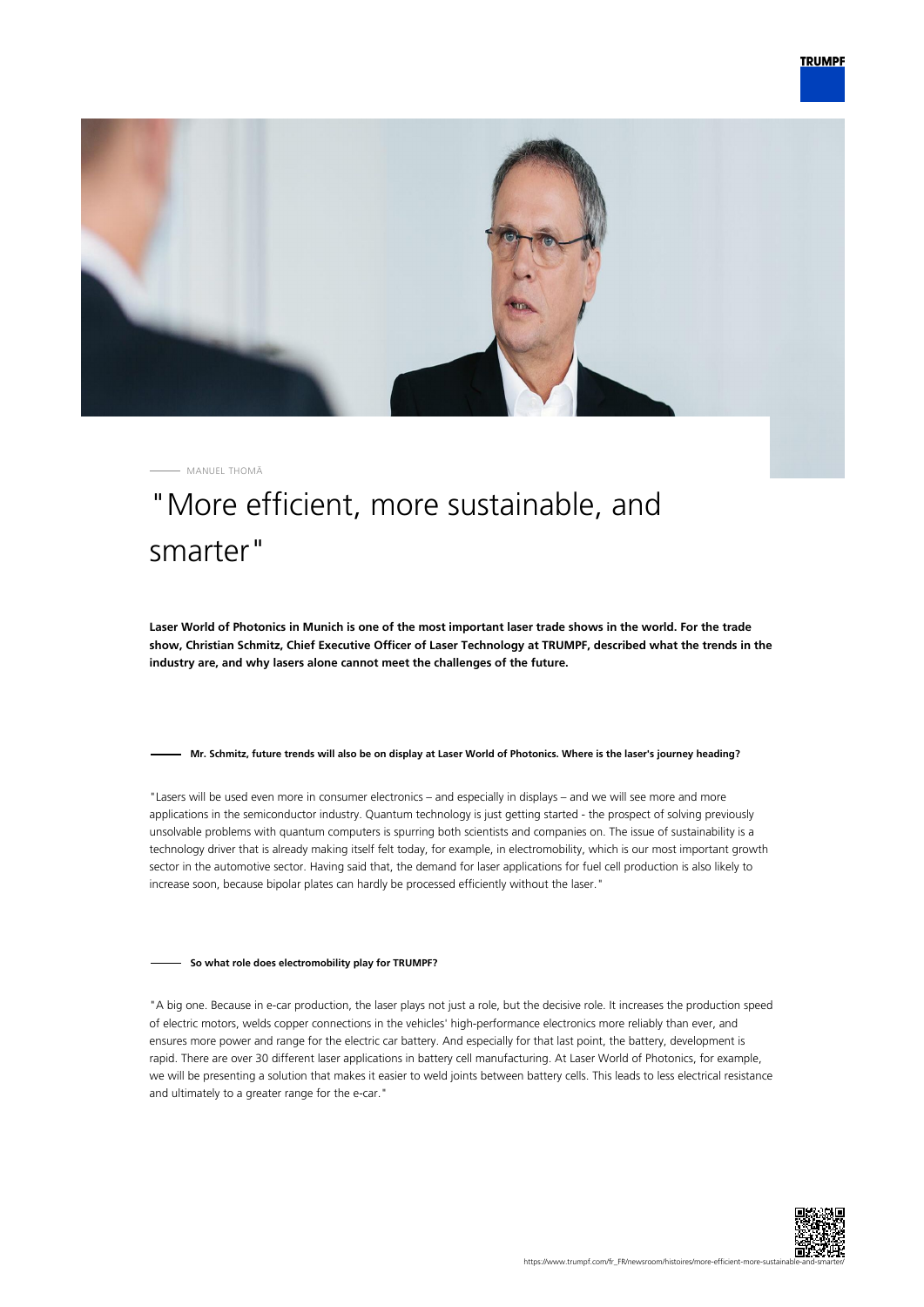



MANUEL THOMÄ

# "More efficient, more sustainable, and smarter"

**Laser World of Photonics in Munich is one of the most important laser trade shows in the world. For the trade show, Christian Schmitz, Chief Executive Officer of Laser Technology at TRUMPF, described what the trends in the industry are, and why lasers alone cannot meet the challenges of the future.**

### **Mr. Schmitz, future trends will also be on display at Laser World of Photonics. Where is the laser's journey heading?**

"Lasers will be used even more in consumer electronics – and especially in displays – and we will see more and more applications in the semiconductor industry. Quantum technology is just getting started - the prospect of solving previously unsolvable problems with quantum computers is spurring both scientists and companies on. The issue of sustainability is a technology driver that is already making itself felt today, for example, in electromobility, which is our most important growth sector in the automotive sector. Having said that, the demand for laser applications for fuel cell production is also likely to increase soon, because bipolar plates can hardly be processed efficiently without the laser."

### **So what role does electromobility play for TRUMPF?**

"A big one. Because in e-car production, the laser plays not just a role, but the decisive role. It increases the production speed of electric motors, welds copper connections in the vehicles' high-performance electronics more reliably than ever, and ensures more power and range for the electric car battery. And especially for that last point, the battery, development is rapid. There are over 30 different laser applications in battery cell manufacturing. At Laser World of Photonics, for example, we will be presenting a solution that makes it easier to weld joints between battery cells. This leads to less electrical resistance and ultimately to a greater range for the e-car."